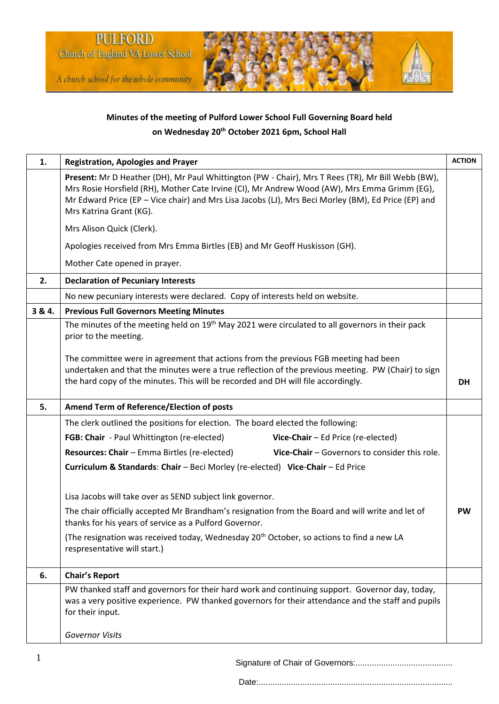

# **Minutes of the meeting of Pulford Lower School Full Governing Board held on Wednesday 20th October 2021 6pm, School Hall**

| 1.     | <b>Registration, Apologies and Prayer</b>                                                                                                                                                                                                                                                                                           | <b>ACTION</b> |
|--------|-------------------------------------------------------------------------------------------------------------------------------------------------------------------------------------------------------------------------------------------------------------------------------------------------------------------------------------|---------------|
|        | Present: Mr D Heather (DH), Mr Paul Whittington (PW - Chair), Mrs T Rees (TR), Mr Bill Webb (BW),<br>Mrs Rosie Horsfield (RH), Mother Cate Irvine (CI), Mr Andrew Wood (AW), Mrs Emma Grimm (EG),<br>Mr Edward Price (EP - Vice chair) and Mrs Lisa Jacobs (LJ), Mrs Beci Morley (BM), Ed Price (EP) and<br>Mrs Katrina Grant (KG). |               |
|        | Mrs Alison Quick (Clerk).                                                                                                                                                                                                                                                                                                           |               |
|        | Apologies received from Mrs Emma Birtles (EB) and Mr Geoff Huskisson (GH).                                                                                                                                                                                                                                                          |               |
|        | Mother Cate opened in prayer.                                                                                                                                                                                                                                                                                                       |               |
| 2.     | <b>Declaration of Pecuniary Interests</b>                                                                                                                                                                                                                                                                                           |               |
|        | No new pecuniary interests were declared. Copy of interests held on website.                                                                                                                                                                                                                                                        |               |
| 3 & 4. | <b>Previous Full Governors Meeting Minutes</b>                                                                                                                                                                                                                                                                                      |               |
|        | The minutes of the meeting held on 19 <sup>th</sup> May 2021 were circulated to all governors in their pack<br>prior to the meeting.                                                                                                                                                                                                |               |
|        | The committee were in agreement that actions from the previous FGB meeting had been<br>undertaken and that the minutes were a true reflection of the previous meeting. PW (Chair) to sign<br>the hard copy of the minutes. This will be recorded and DH will file accordingly.                                                      | <b>DH</b>     |
| 5.     | Amend Term of Reference/Election of posts                                                                                                                                                                                                                                                                                           |               |
|        | The clerk outlined the positions for election. The board elected the following:                                                                                                                                                                                                                                                     |               |
|        | FGB: Chair - Paul Whittington (re-elected)<br>Vice-Chair - Ed Price (re-elected)                                                                                                                                                                                                                                                    |               |
|        | Resources: Chair - Emma Birtles (re-elected)<br>Vice-Chair - Governors to consider this role.                                                                                                                                                                                                                                       |               |
|        | Curriculum & Standards: Chair - Beci Morley (re-elected) Vice-Chair - Ed Price                                                                                                                                                                                                                                                      |               |
|        |                                                                                                                                                                                                                                                                                                                                     |               |
|        | Lisa Jacobs will take over as SEND subject link governor.                                                                                                                                                                                                                                                                           |               |
|        | The chair officially accepted Mr Brandham's resignation from the Board and will write and let of<br>thanks for his years of service as a Pulford Governor.                                                                                                                                                                          | <b>PW</b>     |
|        | (The resignation was received today, Wednesday 20 <sup>th</sup> October, so actions to find a new LA<br>respresentative will start.)                                                                                                                                                                                                |               |
| 6.     | <b>Chair's Report</b>                                                                                                                                                                                                                                                                                                               |               |
|        | PW thanked staff and governors for their hard work and continuing support. Governor day, today,<br>was a very positive experience. PW thanked governors for their attendance and the staff and pupils<br>for their input.                                                                                                           |               |
|        | <b>Governor Visits</b>                                                                                                                                                                                                                                                                                                              |               |

Signature of Chair of Governors:..........................................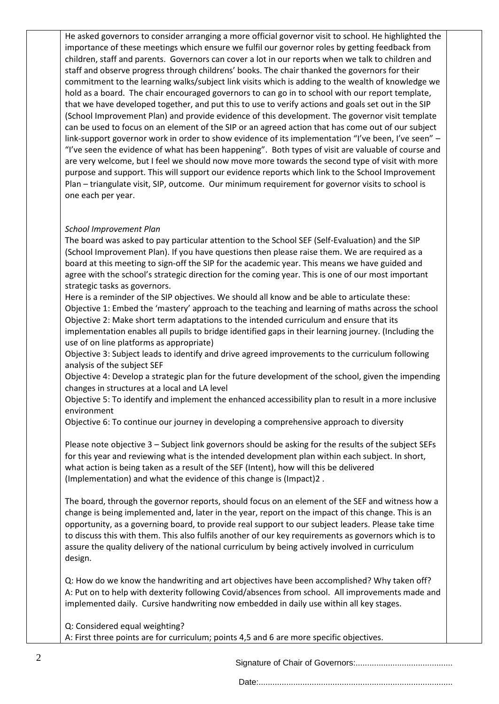He asked governors to consider arranging a more official governor visit to school. He highlighted the importance of these meetings which ensure we fulfil our governor roles by getting feedback from children, staff and parents. Governors can cover a lot in our reports when we talk to children and staff and observe progress through childrens' books. The chair thanked the governors for their commitment to the learning walks/subject link visits which is adding to the wealth of knowledge we hold as a board. The chair encouraged governors to can go in to school with our report template, that we have developed together, and put this to use to verify actions and goals set out in the SIP (School Improvement Plan) and provide evidence of this development. The governor visit template can be used to focus on an element of the SIP or an agreed action that has come out of our subject link-support governor work in order to show evidence of its implementation "I've been, I've seen" -"I've seen the evidence of what has been happening". Both types of visit are valuable of course and are very welcome, but I feel we should now move more towards the second type of visit with more purpose and support. This will support our evidence reports which link to the School Improvement Plan – triangulate visit, SIP, outcome. Our minimum requirement for governor visits to school is one each per year.

## *School Improvement Plan*

The board was asked to pay particular attention to the School SEF (Self-Evaluation) and the SIP (School Improvement Plan). If you have questions then please raise them. We are required as a board at this meeting to sign-off the SIP for the academic year. This means we have guided and agree with the school's strategic direction for the coming year. This is one of our most important strategic tasks as governors.

Here is a reminder of the SIP objectives. We should all know and be able to articulate these: Objective 1: Embed the 'mastery' approach to the teaching and learning of maths across the school Objective 2: Make short term adaptations to the intended curriculum and ensure that its implementation enables all pupils to bridge identified gaps in their learning journey. (Including the

use of on line platforms as appropriate) Objective 3: Subject leads to identify and drive agreed improvements to the curriculum following analysis of the subject SEF

Objective 4: Develop a strategic plan for the future development of the school, given the impending changes in structures at a local and LA level

Objective 5: To identify and implement the enhanced accessibility plan to result in a more inclusive environment

Objective 6: To continue our journey in developing a comprehensive approach to diversity

Please note objective 3 – Subject link governors should be asking for the results of the subject SEFs for this year and reviewing what is the intended development plan within each subject. In short, what action is being taken as a result of the SEF (Intent), how will this be delivered (Implementation) and what the evidence of this change is (Impact)2 .

The board, through the governor reports, should focus on an element of the SEF and witness how a change is being implemented and, later in the year, report on the impact of this change. This is an opportunity, as a governing board, to provide real support to our subject leaders. Please take time to discuss this with them. This also fulfils another of our key requirements as governors which is to assure the quality delivery of the national curriculum by being actively involved in curriculum design.

Q: How do we know the handwriting and art objectives have been accomplished? Why taken off? A: Put on to help with dexterity following Covid/absences from school. All improvements made and implemented daily. Cursive handwriting now embedded in daily use within all key stages.

Q: Considered equal weighting? A: First three points are for curriculum; points 4,5 and 6 are more specific objectives.

Signature of Chair of Governors:..........................................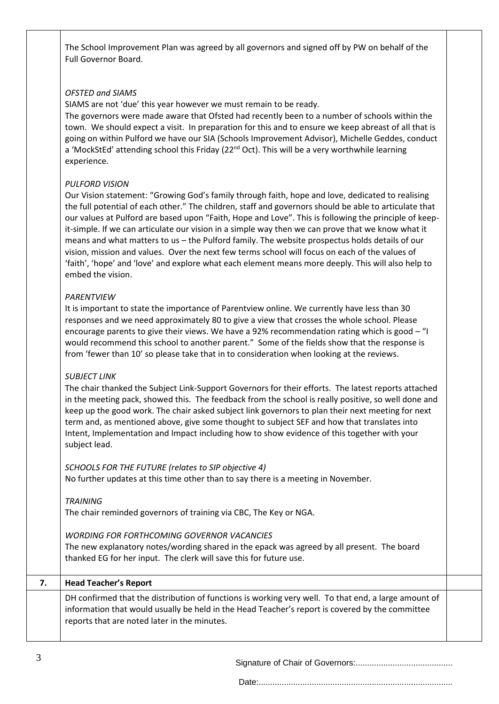The School Improvement Plan was agreed by all governors and signed off by PW on behalf of the Full Governor Board.

### *OFSTED and SIAMS*

SIAMS are not 'due' this year however we must remain to be ready.

The governors were made aware that Ofsted had recently been to a number of schools within the town. We should expect a visit. In preparation for this and to ensure we keep abreast of all that is going on within Pulford we have our SIA (Schools Improvement Advisor), Michelle Geddes, conduct a 'MockStEd' attending school this Friday (22<sup>nd</sup> Oct). This will be a very worthwhile learning experience.

### *PULFORD VISION*

Our Vision statement: "Growing God's family through faith, hope and love, dedicated to realising the full potential of each other." The children, staff and governors should be able to articulate that our values at Pulford are based upon "Faith, Hope and Love". This is following the principle of keepit-simple. If we can articulate our vision in a simple way then we can prove that we know what it means and what matters to us – the Pulford family. The website prospectus holds details of our vision, mission and values. Over the next few terms school will focus on each of the values of 'faith', 'hope' and 'love' and explore what each element means more deeply. This will also help to embed the vision.

### *PARENTVIEW*

It is important to state the importance of Parentview online. We currently have less than 30 responses and we need approximately 80 to give a view that crosses the whole school. Please encourage parents to give their views. We have a 92% recommendation rating which is good – "I would recommend this school to another parent." Some of the fields show that the response is from 'fewer than 10' so please take that in to consideration when looking at the reviews.

### *SUBJECT LINK*

The chair thanked the Subject Link-Support Governors for their efforts. The latest reports attached in the meeting pack, showed this. The feedback from the school is really positive, so well done and keep up the good work. The chair asked subject link governors to plan their next meeting for next term and, as mentioned above, give some thought to subject SEF and how that translates into Intent, Implementation and Impact including how to show evidence of this together with your subject lead.

*SCHOOLS FOR THE FUTURE (relates to SIP objective 4)* No further updates at this time other than to say there is a meeting in November.

*TRAINING* The chair reminded governors of training via CBC, The Key or NGA.

#### *WORDING FOR FORTHCOMING GOVERNOR VACANCIES*

The new explanatory notes/wording shared in the epack was agreed by all present. The board thanked EG for her input. The clerk will save this for future use.

| 7. | <b>Head Teacher's Report</b>                                                                                                                                                                                                                            |  |
|----|---------------------------------------------------------------------------------------------------------------------------------------------------------------------------------------------------------------------------------------------------------|--|
|    | DH confirmed that the distribution of functions is working very well. To that end, a large amount of<br>information that would usually be held in the Head Teacher's report is covered by the committee<br>reports that are noted later in the minutes. |  |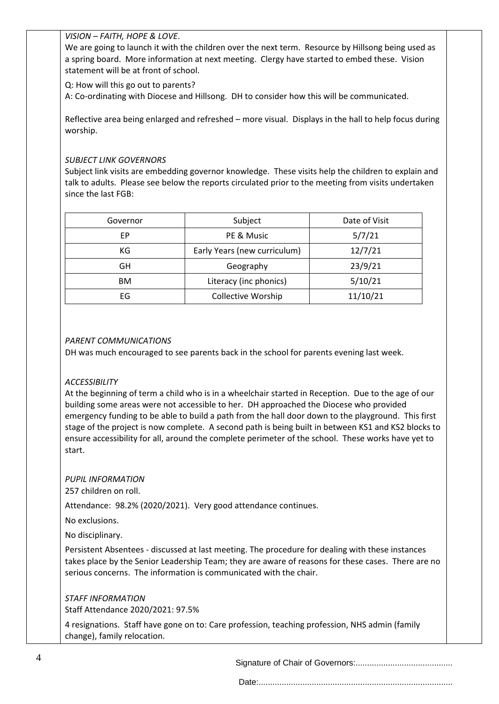### *VISION – FAITH, HOPE & LOVE*.

We are going to launch it with the children over the next term. Resource by Hillsong being used as a spring board. More information at next meeting. Clergy have started to embed these. Vision statement will be at front of school.

Q: How will this go out to parents?

A: Co-ordinating with Diocese and Hillsong. DH to consider how this will be communicated.

Reflective area being enlarged and refreshed – more visual. Displays in the hall to help focus during worship.

### *SUBJECT LINK GOVERNORS*

Subject link visits are embedding governor knowledge. These visits help the children to explain and talk to adults. Please see below the reports circulated prior to the meeting from visits undertaken since the last FGB:

| Governor  | Subject                      | Date of Visit |
|-----------|------------------------------|---------------|
| ЕP        | PE & Music                   | 5/7/21        |
| КG        | Early Years (new curriculum) | 12/7/21       |
| GH        | Geography                    | 23/9/21       |
| <b>BM</b> | Literacy (inc phonics)       | 5/10/21       |
| EG        | <b>Collective Worship</b>    | 11/10/21      |

### *PARENT COMMUNICATIONS*

DH was much encouraged to see parents back in the school for parents evening last week.

### *ACCESSIBILITY*

At the beginning of term a child who is in a wheelchair started in Reception. Due to the age of our building some areas were not accessible to her. DH approached the Diocese who provided emergency funding to be able to build a path from the hall door down to the playground. This first stage of the project is now complete. A second path is being built in between KS1 and KS2 blocks to ensure accessibility for all, around the complete perimeter of the school. These works have yet to start.

### *PUPIL INFORMATION*

257 children on roll.

Attendance: 98.2% (2020/2021). Very good attendance continues.

No exclusions.

No disciplinary.

Persistent Absentees - discussed at last meeting. The procedure for dealing with these instances takes place by the Senior Leadership Team; they are aware of reasons for these cases. There are no serious concerns. The information is communicated with the chair.

*STAFF INFORMATION* Staff Attendance 2020/2021: 97.5%

4 resignations. Staff have gone on to: Care profession, teaching profession, NHS admin (family change), family relocation.

Signature of Chair of Governors:..........................................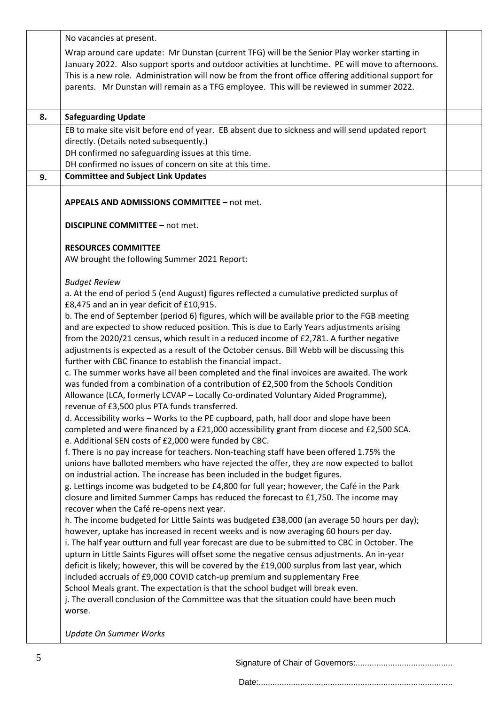|                                                                                                                                                                                        | No vacancies at present.                                                                                                                                                                           |  |
|----------------------------------------------------------------------------------------------------------------------------------------------------------------------------------------|----------------------------------------------------------------------------------------------------------------------------------------------------------------------------------------------------|--|
|                                                                                                                                                                                        | Wrap around care update: Mr Dunstan (current TFG) will be the Senior Play worker starting in<br>January 2022. Also support sports and outdoor activities at lunchtime. PE will move to afternoons. |  |
|                                                                                                                                                                                        | This is a new role. Administration will now be from the front office offering additional support for<br>parents. Mr Dunstan will remain as a TFG employee. This will be reviewed in summer 2022.   |  |
| 8.                                                                                                                                                                                     |                                                                                                                                                                                                    |  |
|                                                                                                                                                                                        | <b>Safeguarding Update</b><br>EB to make site visit before end of year. EB absent due to sickness and will send updated report                                                                     |  |
|                                                                                                                                                                                        | directly. (Details noted subsequently.)                                                                                                                                                            |  |
|                                                                                                                                                                                        | DH confirmed no safeguarding issues at this time.                                                                                                                                                  |  |
|                                                                                                                                                                                        | DH confirmed no issues of concern on site at this time.                                                                                                                                            |  |
| 9.                                                                                                                                                                                     | <b>Committee and Subject Link Updates</b>                                                                                                                                                          |  |
|                                                                                                                                                                                        | <b>APPEALS AND ADMISSIONS COMMITTEE - not met.</b>                                                                                                                                                 |  |
|                                                                                                                                                                                        | <b>DISCIPLINE COMMITTEE - not met.</b>                                                                                                                                                             |  |
|                                                                                                                                                                                        | <b>RESOURCES COMMITTEE</b>                                                                                                                                                                         |  |
|                                                                                                                                                                                        | AW brought the following Summer 2021 Report:                                                                                                                                                       |  |
|                                                                                                                                                                                        | <b>Budget Review</b>                                                                                                                                                                               |  |
|                                                                                                                                                                                        | a. At the end of period 5 (end August) figures reflected a cumulative predicted surplus of                                                                                                         |  |
|                                                                                                                                                                                        | £8,475 and an in year deficit of £10,915.                                                                                                                                                          |  |
|                                                                                                                                                                                        | b. The end of September (period 6) figures, which will be available prior to the FGB meeting<br>and are expected to show reduced position. This is due to Early Years adjustments arising          |  |
|                                                                                                                                                                                        | from the 2020/21 census, which result in a reduced income of £2,781. A further negative                                                                                                            |  |
|                                                                                                                                                                                        | adjustments is expected as a result of the October census. Bill Webb will be discussing this                                                                                                       |  |
|                                                                                                                                                                                        | further with CBC finance to establish the financial impact.                                                                                                                                        |  |
|                                                                                                                                                                                        | c. The summer works have all been completed and the final invoices are awaited. The work                                                                                                           |  |
|                                                                                                                                                                                        | was funded from a combination of a contribution of £2,500 from the Schools Condition                                                                                                               |  |
|                                                                                                                                                                                        | Allowance (LCA, formerly LCVAP - Locally Co-ordinated Voluntary Aided Programme),                                                                                                                  |  |
|                                                                                                                                                                                        | revenue of £3,500 plus PTA funds transferred.                                                                                                                                                      |  |
|                                                                                                                                                                                        | d. Accessibility works – Works to the PE cupboard, path, hall door and slope have been                                                                                                             |  |
|                                                                                                                                                                                        | completed and were financed by a £21,000 accessibility grant from diocese and £2,500 SCA.<br>e. Additional SEN costs of £2,000 were funded by CBC.                                                 |  |
|                                                                                                                                                                                        | f. There is no pay increase for teachers. Non-teaching staff have been offered 1.75% the                                                                                                           |  |
|                                                                                                                                                                                        | unions have balloted members who have rejected the offer, they are now expected to ballot                                                                                                          |  |
|                                                                                                                                                                                        | on industrial action. The increase has been included in the budget figures.                                                                                                                        |  |
|                                                                                                                                                                                        | g. Lettings income was budgeted to be £4,800 for full year; however, the Café in the Park                                                                                                          |  |
|                                                                                                                                                                                        | closure and limited Summer Camps has reduced the forecast to £1,750. The income may                                                                                                                |  |
|                                                                                                                                                                                        | recover when the Café re-opens next year.<br>h. The income budgeted for Little Saints was budgeted £38,000 (an average 50 hours per day);                                                          |  |
|                                                                                                                                                                                        |                                                                                                                                                                                                    |  |
| however, uptake has increased in recent weeks and is now averaging 60 hours per day.<br>i. The half year outturn and full year forecast are due to be submitted to CBC in October. The |                                                                                                                                                                                                    |  |
|                                                                                                                                                                                        | upturn in Little Saints Figures will offset some the negative census adjustments. An in-year                                                                                                       |  |
|                                                                                                                                                                                        | deficit is likely; however, this will be covered by the £19,000 surplus from last year, which                                                                                                      |  |
|                                                                                                                                                                                        | included accruals of £9,000 COVID catch-up premium and supplementary Free                                                                                                                          |  |
|                                                                                                                                                                                        | School Meals grant. The expectation is that the school budget will break even.                                                                                                                     |  |
|                                                                                                                                                                                        | j. The overall conclusion of the Committee was that the situation could have been much                                                                                                             |  |
|                                                                                                                                                                                        | worse.                                                                                                                                                                                             |  |
|                                                                                                                                                                                        | <b>Update On Summer Works</b>                                                                                                                                                                      |  |
|                                                                                                                                                                                        |                                                                                                                                                                                                    |  |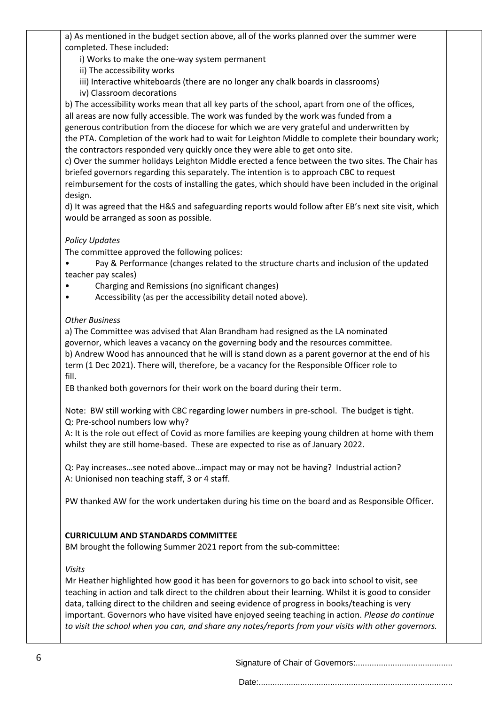a) As mentioned in the budget section above, all of the works planned over the summer were completed. These included:

i) Works to make the one-way system permanent

ii) The accessibility works

iii) Interactive whiteboards (there are no longer any chalk boards in classrooms)

iv) Classroom decorations

b) The accessibility works mean that all key parts of the school, apart from one of the offices, all areas are now fully accessible. The work was funded by the work was funded from a generous contribution from the diocese for which we are very grateful and underwritten by the PTA. Completion of the work had to wait for Leighton Middle to complete their boundary work; the contractors responded very quickly once they were able to get onto site.

c) Over the summer holidays Leighton Middle erected a fence between the two sites. The Chair has briefed governors regarding this separately. The intention is to approach CBC to request

reimbursement for the costs of installing the gates, which should have been included in the original design.

d) It was agreed that the H&S and safeguarding reports would follow after EB's next site visit, which would be arranged as soon as possible.

# *Policy Updates*

The committee approved the following polices:

Pay & Performance (changes related to the structure charts and inclusion of the updated teacher pay scales)

- Charging and Remissions (no significant changes)
- Accessibility (as per the accessibility detail noted above).

# *Other Business*

a) The Committee was advised that Alan Brandham had resigned as the LA nominated governor, which leaves a vacancy on the governing body and the resources committee. b) Andrew Wood has announced that he will is stand down as a parent governor at the end of his term (1 Dec 2021). There will, therefore, be a vacancy for the Responsible Officer role to fill.

EB thanked both governors for their work on the board during their term.

Note: BW still working with CBC regarding lower numbers in pre-school. The budget is tight. Q: Pre-school numbers low why?

A: It is the role out effect of Covid as more families are keeping young children at home with them whilst they are still home-based. These are expected to rise as of January 2022.

Q: Pay increases…see noted above…impact may or may not be having? Industrial action? A: Unionised non teaching staff, 3 or 4 staff.

PW thanked AW for the work undertaken during his time on the board and as Responsible Officer.

# **CURRICULUM AND STANDARDS COMMITTEE**

BM brought the following Summer 2021 report from the sub-committee:

# *Visits*

Mr Heather highlighted how good it has been for governors to go back into school to visit, see teaching in action and talk direct to the children about their learning. Whilst it is good to consider data, talking direct to the children and seeing evidence of progress in books/teaching is very important. Governors who have visited have enjoyed seeing teaching in action. *Please do continue*  to visit the school when you can, and share any notes/reports from your visits with other governors.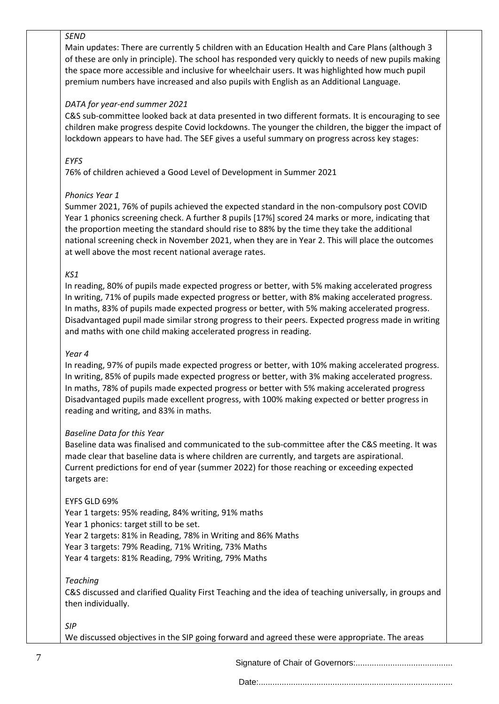### *SEND*

Main updates: There are currently 5 children with an Education Health and Care Plans (although 3 of these are only in principle). The school has responded very quickly to needs of new pupils making the space more accessible and inclusive for wheelchair users. It was highlighted how much pupil premium numbers have increased and also pupils with English as an Additional Language.

## *DATA for year-end summer 2021*

C&S sub-committee looked back at data presented in two different formats. It is encouraging to see children make progress despite Covid lockdowns. The younger the children, the bigger the impact of lockdown appears to have had. The SEF gives a useful summary on progress across key stages:

## *EYFS*

76% of children achieved a Good Level of Development in Summer 2021

## *Phonics Year 1*

Summer 2021, 76% of pupils achieved the expected standard in the non-compulsory post COVID Year 1 phonics screening check. A further 8 pupils [17%] scored 24 marks or more, indicating that the proportion meeting the standard should rise to 88% by the time they take the additional national screening check in November 2021, when they are in Year 2. This will place the outcomes at well above the most recent national average rates.

# *KS1*

In reading, 80% of pupils made expected progress or better, with 5% making accelerated progress In writing, 71% of pupils made expected progress or better, with 8% making accelerated progress. In maths, 83% of pupils made expected progress or better, with 5% making accelerated progress. Disadvantaged pupil made similar strong progress to their peers. Expected progress made in writing and maths with one child making accelerated progress in reading.

### *Year 4*

In reading, 97% of pupils made expected progress or better, with 10% making accelerated progress. In writing, 85% of pupils made expected progress or better, with 3% making accelerated progress. In maths, 78% of pupils made expected progress or better with 5% making accelerated progress Disadvantaged pupils made excellent progress, with 100% making expected or better progress in reading and writing, and 83% in maths.

### *Baseline Data for this Year*

Baseline data was finalised and communicated to the sub-committee after the C&S meeting. It was made clear that baseline data is where children are currently, and targets are aspirational. Current predictions for end of year (summer 2022) for those reaching or exceeding expected targets are:

### EYFS GLD 69%

Year 1 targets: 95% reading, 84% writing, 91% maths Year 1 phonics: target still to be set. Year 2 targets: 81% in Reading, 78% in Writing and 86% Maths Year 3 targets: 79% Reading, 71% Writing, 73% Maths Year 4 targets: 81% Reading, 79% Writing, 79% Maths

### *Teaching*

C&S discussed and clarified Quality First Teaching and the idea of teaching universally, in groups and then individually.

### *SIP*

We discussed objectives in the SIP going forward and agreed these were appropriate. The areas

Signature of Chair of Governors:..........................................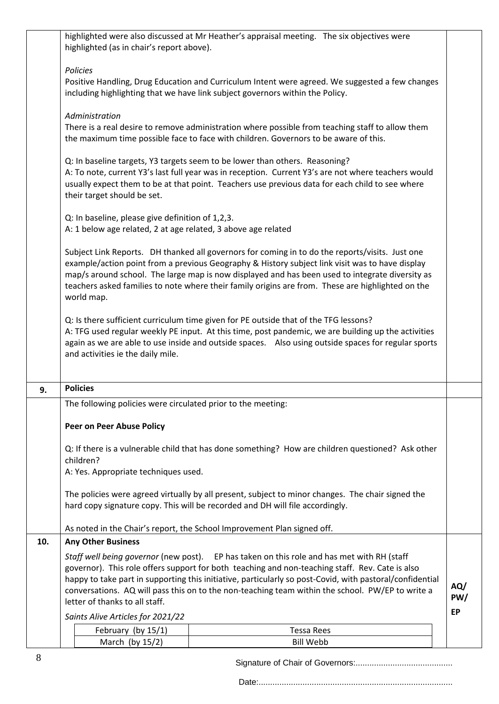|                                                                                                 | highlighted (as in chair's report above).                                                         | highlighted were also discussed at Mr Heather's appraisal meeting. The six objectives were               |           |  |
|-------------------------------------------------------------------------------------------------|---------------------------------------------------------------------------------------------------|----------------------------------------------------------------------------------------------------------|-----------|--|
|                                                                                                 | Policies                                                                                          |                                                                                                          |           |  |
| Positive Handling, Drug Education and Curriculum Intent were agreed. We suggested a few changes |                                                                                                   |                                                                                                          |           |  |
|                                                                                                 | including highlighting that we have link subject governors within the Policy.                     |                                                                                                          |           |  |
|                                                                                                 | Administration                                                                                    |                                                                                                          |           |  |
|                                                                                                 |                                                                                                   | There is a real desire to remove administration where possible from teaching staff to allow them         |           |  |
| the maximum time possible face to face with children. Governors to be aware of this.            |                                                                                                   |                                                                                                          |           |  |
|                                                                                                 |                                                                                                   | Q: In baseline targets, Y3 targets seem to be lower than others. Reasoning?                              |           |  |
|                                                                                                 |                                                                                                   | A: To note, current Y3's last full year was in reception. Current Y3's are not where teachers would      |           |  |
|                                                                                                 | usually expect them to be at that point. Teachers use previous data for each child to see where   |                                                                                                          |           |  |
|                                                                                                 | their target should be set.                                                                       |                                                                                                          |           |  |
|                                                                                                 | Q: In baseline, please give definition of 1,2,3.                                                  |                                                                                                          |           |  |
|                                                                                                 | A: 1 below age related, 2 at age related, 3 above age related                                     |                                                                                                          |           |  |
|                                                                                                 |                                                                                                   |                                                                                                          |           |  |
|                                                                                                 |                                                                                                   | Subject Link Reports. DH thanked all governors for coming in to do the reports/visits. Just one          |           |  |
|                                                                                                 |                                                                                                   | example/action point from a previous Geography & History subject link visit was to have display          |           |  |
|                                                                                                 |                                                                                                   | map/s around school. The large map is now displayed and has been used to integrate diversity as          |           |  |
|                                                                                                 |                                                                                                   | teachers asked families to note where their family origins are from. These are highlighted on the        |           |  |
|                                                                                                 | world map.                                                                                        |                                                                                                          |           |  |
|                                                                                                 |                                                                                                   | Q: Is there sufficient curriculum time given for PE outside that of the TFG lessons?                     |           |  |
|                                                                                                 |                                                                                                   | A: TFG used regular weekly PE input. At this time, post pandemic, we are building up the activities      |           |  |
|                                                                                                 |                                                                                                   | again as we are able to use inside and outside spaces. Also using outside spaces for regular sports      |           |  |
|                                                                                                 | and activities ie the daily mile.                                                                 |                                                                                                          |           |  |
|                                                                                                 |                                                                                                   |                                                                                                          |           |  |
| 9.                                                                                              | <b>Policies</b>                                                                                   |                                                                                                          |           |  |
|                                                                                                 | The following policies were circulated prior to the meeting:                                      |                                                                                                          |           |  |
|                                                                                                 | <b>Peer on Peer Abuse Policy</b>                                                                  |                                                                                                          |           |  |
|                                                                                                 |                                                                                                   |                                                                                                          |           |  |
|                                                                                                 | children?                                                                                         | Q: If there is a vulnerable child that has done something? How are children questioned? Ask other        |           |  |
|                                                                                                 | A: Yes. Appropriate techniques used.                                                              |                                                                                                          |           |  |
|                                                                                                 |                                                                                                   |                                                                                                          |           |  |
|                                                                                                 | The policies were agreed virtually by all present, subject to minor changes. The chair signed the |                                                                                                          |           |  |
|                                                                                                 |                                                                                                   | hard copy signature copy. This will be recorded and DH will file accordingly.                            |           |  |
|                                                                                                 |                                                                                                   | As noted in the Chair's report, the School Improvement Plan signed off.                                  |           |  |
| 10.                                                                                             | <b>Any Other Business</b>                                                                         |                                                                                                          |           |  |
|                                                                                                 |                                                                                                   | Staff well being governor (new post). EP has taken on this role and has met with RH (staff               |           |  |
|                                                                                                 |                                                                                                   | governor). This role offers support for both teaching and non-teaching staff. Rev. Cate is also          |           |  |
|                                                                                                 |                                                                                                   | happy to take part in supporting this initiative, particularly so post-Covid, with pastoral/confidential | AQ/       |  |
|                                                                                                 | conversations. AQ will pass this on to the non-teaching team within the school. PW/EP to write a  |                                                                                                          |           |  |
|                                                                                                 | PW/<br>letter of thanks to all staff.                                                             |                                                                                                          |           |  |
|                                                                                                 | Saints Alive Articles for 2021/22                                                                 |                                                                                                          | <b>EP</b> |  |
|                                                                                                 | February (by 15/1)                                                                                | <b>Tessa Rees</b>                                                                                        |           |  |
|                                                                                                 |                                                                                                   |                                                                                                          |           |  |
|                                                                                                 | March (by $15/2$ )                                                                                | <b>Bill Webb</b>                                                                                         |           |  |